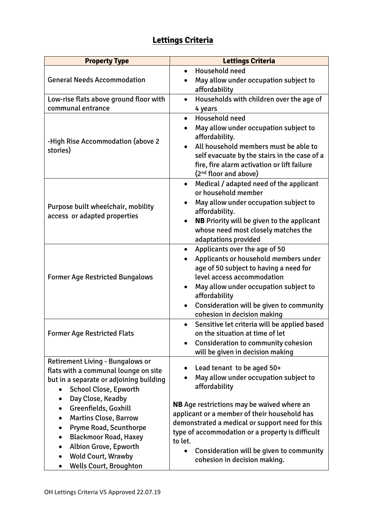## **Lettings Criteria**

| <b>Property Type</b>                                                                                                                                                                                                                         | <b>Lettings Criteria</b>                                                                                                                                                                                                                                                                                                   |
|----------------------------------------------------------------------------------------------------------------------------------------------------------------------------------------------------------------------------------------------|----------------------------------------------------------------------------------------------------------------------------------------------------------------------------------------------------------------------------------------------------------------------------------------------------------------------------|
| <b>General Needs Accommodation</b>                                                                                                                                                                                                           | Household need<br>$\bullet$<br>May allow under occupation subject to<br>affordability                                                                                                                                                                                                                                      |
| Low-rise flats above ground floor with<br>communal entrance                                                                                                                                                                                  | Households with children over the age of<br>$\bullet$<br>4 years                                                                                                                                                                                                                                                           |
| -High Rise Accommodation (above 2)<br>stories)                                                                                                                                                                                               | Household need<br>$\bullet$<br>May allow under occupation subject to<br>$\bullet$<br>affordability.<br>All household members must be able to<br>self evacuate by the stairs in the case of a<br>fire, fire alarm activation or lift failure<br>(2 <sup>nd</sup> floor and above)                                           |
| Purpose built wheelchair, mobility<br>access or adapted properties                                                                                                                                                                           | Medical / adapted need of the applicant<br>$\bullet$<br>or household member<br>May allow under occupation subject to<br>affordability.<br><b>NB</b> Priority will be given to the applicant<br>whose need most closely matches the<br>adaptations provided                                                                 |
| <b>Former Age Restricted Bungalows</b>                                                                                                                                                                                                       | Applicants over the age of 50<br>$\bullet$<br>Applicants or household members under<br>$\bullet$<br>age of 50 subject to having a need for<br>level access accommodation<br>May allow under occupation subject to<br>$\bullet$<br>affordability<br>Consideration will be given to community<br>cohesion in decision making |
| <b>Former Age Restricted Flats</b>                                                                                                                                                                                                           | Sensitive let criteria will be applied based<br>$\bullet$<br>on the situation at time of let<br><b>Consideration to community cohesion</b><br>will be given in decision making                                                                                                                                             |
| <b>Retirement Living - Bungalows or</b><br>flats with a communal lounge on site<br>but in a separate or adjoining building<br>School Close, Epworth<br>Day Close, Keadby                                                                     | Lead tenant to be aged 50+<br>May allow under occupation subject to<br>$\bullet$<br>affordability                                                                                                                                                                                                                          |
| Greenfields, Goxhill<br><b>Martins Close, Barrow</b><br>Pryme Road, Scunthorpe<br><b>Blackmoor Road, Haxey</b><br>Albion Grove, Epworth<br>$\bullet$<br><b>Wold Court, Wrawby</b><br>$\bullet$<br><b>Wells Court, Broughton</b><br>$\bullet$ | <b>NB</b> Age restrictions may be waived where an<br>applicant or a member of their household has<br>demonstrated a medical or support need for this<br>type of accommodation or a property is difficult<br>to let.<br>Consideration will be given to community<br>$\bullet$<br>cohesion in decision making.               |